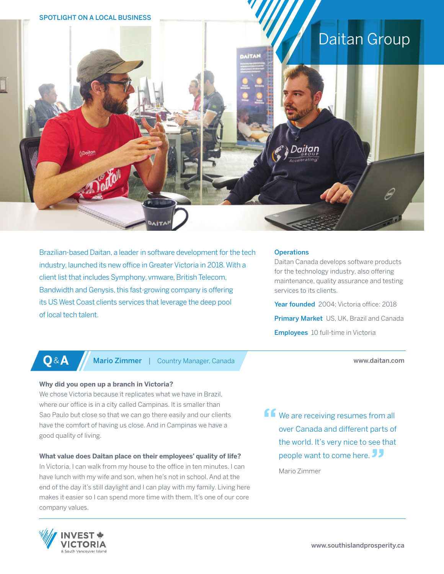# SPOTLIGHT ON A LOCAL BUSINESS Daitan Group

Brazilian-based Daitan, a leader in software development for the tech industry, launched its new office in Greater Victoria in 2018. With a client list that includes Symphony, vmware, British Telecom, Bandwidth and Genysis, this fast-growing company is offering its US West Coast clients services that leverage the deep pool of local tech talent.

### **Operations**

Daitan Canada develops software products for the technology industry, also offering maintenance, quality assurance and testing services to its clients.

Year founded 2004: Victoria office: 2018 **Primary Market** US, UK, Brazil and Canada **Employees** 10 full-time in Victoria

www.daitan.com

**Q**&**A** Mario Zimmer | Country Manager, Canada

# **Why did you open up a branch in Victoria?**

We chose Victoria because it replicates what we have in Brazil, where our office is in a city called Campinas. It is smaller than Sao Paulo but close so that we can go there easily and our clients have the comfort of having us close. And in Campinas we have a good quality of living.

# **What value does Daitan place on their employees' quality of life?**

In Victoria, I can walk from my house to the office in ten minutes. I can have lunch with my wife and son, when he's not in school. And at the end of the day it's still daylight and I can play with my family. Living here makes it easier so I can spend more time with them. It's one of our core company values.

**f** We are receiving resumes from all over Canada and different parts of the world. It's very nice to see that people want to come here.

Mario Zimmer